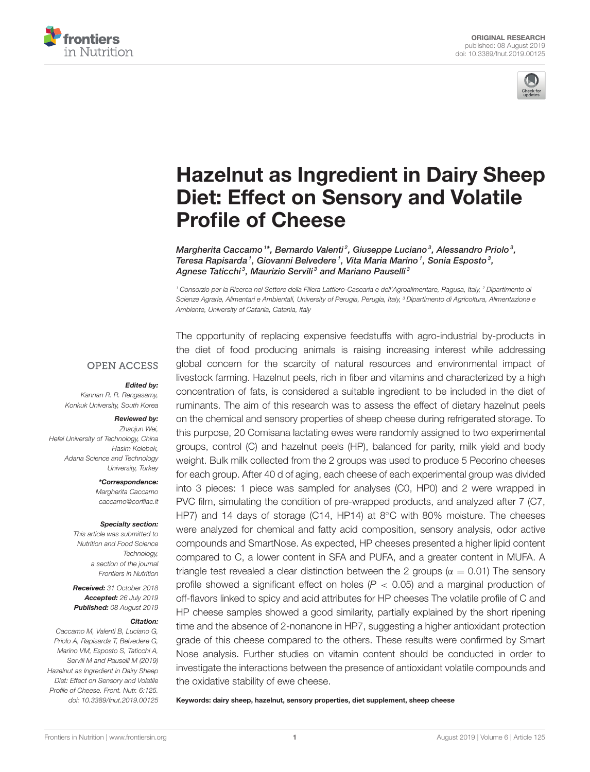



# [Hazelnut as Ingredient in Dairy Sheep](https://www.frontiersin.org/articles/10.3389/fnut.2019.00125/full) Diet: Effect on Sensory and Volatile Profile of Cheese

[Margherita Caccamo](http://loop.frontiersin.org/people/557417/overview) 1\*, [Bernardo Valenti](http://loop.frontiersin.org/people/495241/overview) $^2$ , [Giuseppe Luciano](http://loop.frontiersin.org/people/428901/overview) $^3$ , [Alessandro Priolo](http://loop.frontiersin.org/people/782964/overview) $^3$ , [Teresa Rapisarda](http://loop.frontiersin.org/people/782571/overview)<sup>1</sup>, [Giovanni Belvedere](http://loop.frontiersin.org/people/782574/overview)<sup>1</sup>, [Vita Maria Marino](http://loop.frontiersin.org/people/782576/overview)<sup>1</sup>, [Sonia Esposto](http://loop.frontiersin.org/people/756040/overview)<sup>3</sup>, [Agnese Taticchi](http://loop.frontiersin.org/people/486485/overview)<sup>3</sup>, Maurizio Servili<sup>3</sup> and Mariano Pauselli<sup>3</sup>

*<sup>1</sup> Consorzio per la Ricerca nel Settore della Filiera Lattiero-Casearia e dell'Agroalimentare, Ragusa, Italy, <sup>2</sup> Dipartimento di Scienze Agrarie, Alimentari e Ambientali, University of Perugia, Perugia, Italy, <sup>3</sup> Dipartimento di Agricoltura, Alimentazione e Ambiente, University of Catania, Catania, Italy*

#### **OPEN ACCESS**

#### Edited by:

*Kannan R. R. Rengasamy, Konkuk University, South Korea*

#### Reviewed by:

*Zhaojun Wei, Hefei University of Technology, China Hasim Kelebek, Adana Science and Technology University, Turkey*

> \*Correspondence: *Margherita Caccamo [caccamo@corfilac.it](mailto:caccamo@corfilac.it)*

#### Specialty section:

*This article was submitted to Nutrition and Food Science Technology, a section of the journal Frontiers in Nutrition*

Received: *31 October 2018* Accepted: *26 July 2019* Published: *08 August 2019*

#### Citation:

*Caccamo M, Valenti B, Luciano G, Priolo A, Rapisarda T, Belvedere G, Marino VM, Esposto S, Taticchi A, Servili M and Pauselli M (2019) Hazelnut as Ingredient in Dairy Sheep Diet: Effect on Sensory and Volatile Profile of Cheese. Front. Nutr. 6:125. doi: [10.3389/fnut.2019.00125](https://doi.org/10.3389/fnut.2019.00125)* The opportunity of replacing expensive feedstuffs with agro-industrial by-products in the diet of food producing animals is raising increasing interest while addressing global concern for the scarcity of natural resources and environmental impact of livestock farming. Hazelnut peels, rich in fiber and vitamins and characterized by a high concentration of fats, is considered a suitable ingredient to be included in the diet of ruminants. The aim of this research was to assess the effect of dietary hazelnut peels on the chemical and sensory properties of sheep cheese during refrigerated storage. To this purpose, 20 Comisana lactating ewes were randomly assigned to two experimental groups, control (C) and hazelnut peels (HP), balanced for parity, milk yield and body weight. Bulk milk collected from the 2 groups was used to produce 5 Pecorino cheeses for each group. After 40 d of aging, each cheese of each experimental group was divided into 3 pieces: 1 piece was sampled for analyses (C0, HP0) and 2 were wrapped in PVC film, simulating the condition of pre-wrapped products, and analyzed after 7 (C7, HP7) and 14 days of storage (C14, HP14) at 8◦C with 80% moisture. The cheeses were analyzed for chemical and fatty acid composition, sensory analysis, odor active compounds and SmartNose. As expected, HP cheeses presented a higher lipid content compared to C, a lower content in SFA and PUFA, and a greater content in MUFA. A triangle test revealed a clear distinction between the 2 groups ( $\alpha = 0.01$ ) The sensory profile showed a significant effect on holes ( $P < 0.05$ ) and a marginal production of off-flavors linked to spicy and acid attributes for HP cheeses The volatile profile of C and HP cheese samples showed a good similarity, partially explained by the short ripening time and the absence of 2-nonanone in HP7, suggesting a higher antioxidant protection grade of this cheese compared to the others. These results were confirmed by Smart Nose analysis. Further studies on vitamin content should be conducted in order to investigate the interactions between the presence of antioxidant volatile compounds and the oxidative stability of ewe cheese.

Keywords: dairy sheep, hazelnut, sensory properties, diet supplement, sheep cheese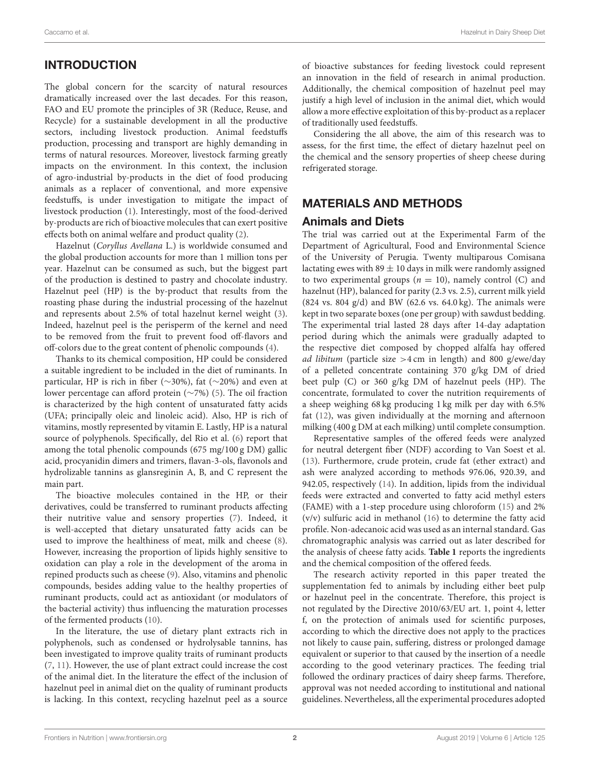# INTRODUCTION

The global concern for the scarcity of natural resources dramatically increased over the last decades. For this reason, FAO and EU promote the principles of 3R (Reduce, Reuse, and Recycle) for a sustainable development in all the productive sectors, including livestock production. Animal feedstuffs production, processing and transport are highly demanding in terms of natural resources. Moreover, livestock farming greatly impacts on the environment. In this context, the inclusion of agro-industrial by-products in the diet of food producing animals as a replacer of conventional, and more expensive feedstuffs, is under investigation to mitigate the impact of livestock production [\(1\)](#page-8-0). Interestingly, most of the food-derived by-products are rich of bioactive molecules that can exert positive effects both on animal welfare and product quality [\(2\)](#page-8-1).

Hazelnut (Coryllus Avellana L.) is worldwide consumed and the global production accounts for more than 1 million tons per year. Hazelnut can be consumed as such, but the biggest part of the production is destined to pastry and chocolate industry. Hazelnut peel (HP) is the by-product that results from the roasting phase during the industrial processing of the hazelnut and represents about 2.5% of total hazelnut kernel weight [\(3\)](#page-8-2). Indeed, hazelnut peel is the perisperm of the kernel and need to be removed from the fruit to prevent food off-flavors and off-colors due to the great content of phenolic compounds [\(4\)](#page-8-3).

Thanks to its chemical composition, HP could be considered a suitable ingredient to be included in the diet of ruminants. In particular, HP is rich in fiber (∼30%), fat (∼20%) and even at lower percentage can afford protein (∼7%) [\(5\)](#page-8-4). The oil fraction is characterized by the high content of unsaturated fatty acids (UFA; principally oleic and linoleic acid). Also, HP is rich of vitamins, mostly represented by vitamin E. Lastly, HP is a natural source of polyphenols. Specifically, del Rio et al. [\(6\)](#page-8-5) report that among the total phenolic compounds (675 mg/100 g DM) gallic acid, procyanidin dimers and trimers, flavan-3-ols, flavonols and hydrolizable tannins as glansreginin A, B, and C represent the main part.

The bioactive molecules contained in the HP, or their derivatives, could be transferred to ruminant products affecting their nutritive value and sensory properties [\(7\)](#page-8-6). Indeed, it is well-accepted that dietary unsaturated fatty acids can be used to improve the healthiness of meat, milk and cheese [\(8\)](#page-8-7). However, increasing the proportion of lipids highly sensitive to oxidation can play a role in the development of the aroma in repined products such as cheese [\(9\)](#page-8-8). Also, vitamins and phenolic compounds, besides adding value to the healthy properties of ruminant products, could act as antioxidant (or modulators of the bacterial activity) thus influencing the maturation processes of the fermented products [\(10\)](#page-8-9).

In the literature, the use of dietary plant extracts rich in polyphenols, such as condensed or hydrolysable tannins, has been investigated to improve quality traits of ruminant products [\(7,](#page-8-6) [11\)](#page-8-10). However, the use of plant extract could increase the cost of the animal diet. In the literature the effect of the inclusion of hazelnut peel in animal diet on the quality of ruminant products is lacking. In this context, recycling hazelnut peel as a source of bioactive substances for feeding livestock could represent an innovation in the field of research in animal production. Additionally, the chemical composition of hazelnut peel may justify a high level of inclusion in the animal diet, which would allow a more effective exploitation of this by-product as a replacer of traditionally used feedstuffs.

Considering the all above, the aim of this research was to assess, for the first time, the effect of dietary hazelnut peel on the chemical and the sensory properties of sheep cheese during refrigerated storage.

#### MATERIALS AND METHODS

#### Animals and Diets

The trial was carried out at the Experimental Farm of the Department of Agricultural, Food and Environmental Science of the University of Perugia. Twenty multiparous Comisana lactating ewes with  $89 \pm 10$  days in milk were randomly assigned to two experimental groups ( $n = 10$ ), namely control (C) and hazelnut (HP), balanced for parity (2.3 vs. 2.5), current milk yield (824 vs. 804 g/d) and BW (62.6 vs. 64.0 kg). The animals were kept in two separate boxes (one per group) with sawdust bedding. The experimental trial lasted 28 days after 14-day adaptation period during which the animals were gradually adapted to the respective diet composed by chopped alfalfa hay offered ad libitum (particle size  $>4$  cm in length) and 800 g/ewe/day of a pelleted concentrate containing 370 g/kg DM of dried beet pulp (C) or 360 g/kg DM of hazelnut peels (HP). The concentrate, formulated to cover the nutrition requirements of a sheep weighing 68 kg producing 1 kg milk per day with 6.5% fat [\(12\)](#page-8-11), was given individually at the morning and afternoon milking (400 g DM at each milking) until complete consumption.

Representative samples of the offered feeds were analyzed for neutral detergent fiber (NDF) according to Van Soest et al. [\(13\)](#page-8-12). Furthermore, crude protein, crude fat (ether extract) and ash were analyzed according to methods 976.06, 920.39, and 942.05, respectively [\(14\)](#page-8-13). In addition, lipids from the individual feeds were extracted and converted to fatty acid methyl esters (FAME) with a 1-step procedure using chloroform [\(15\)](#page-8-14) and 2% (v/v) sulfuric acid in methanol [\(16\)](#page-8-15) to determine the fatty acid profile. Non-adecanoic acid was used as an internal standard. Gas chromatographic analysis was carried out as later described for the analysis of cheese fatty acids. **[Table 1](#page-2-0)** reports the ingredients and the chemical composition of the offered feeds.

The research activity reported in this paper treated the supplementation fed to animals by including either beet pulp or hazelnut peel in the concentrate. Therefore, this project is not regulated by the Directive 2010/63/EU art. 1, point 4, letter f, on the protection of animals used for scientific purposes, according to which the directive does not apply to the practices not likely to cause pain, suffering, distress or prolonged damage equivalent or superior to that caused by the insertion of a needle according to the good veterinary practices. The feeding trial followed the ordinary practices of dairy sheep farms. Therefore, approval was not needed according to institutional and national guidelines. Nevertheless, all the experimental procedures adopted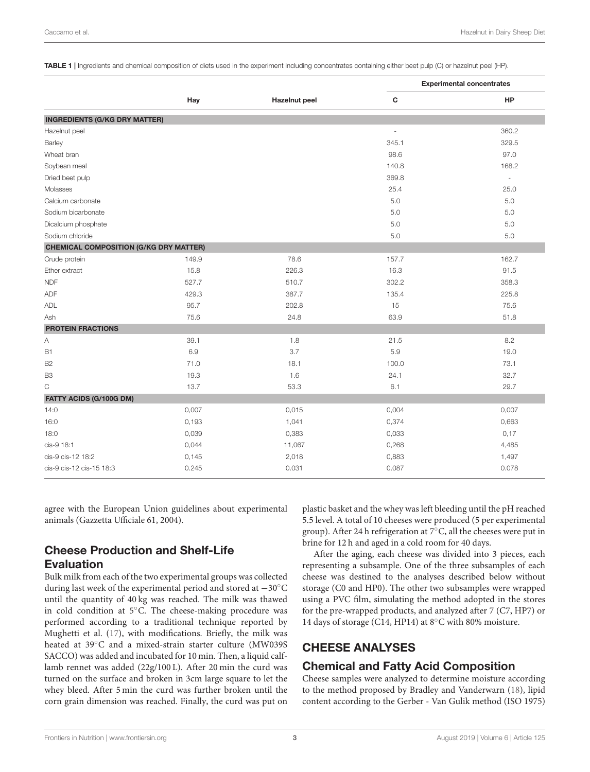<span id="page-2-0"></span>TABLE 1 | Ingredients and chemical composition of diets used in the experiment including concentrates containing either beet pulp (C) or hazelnut peel (HP).

|                                               |       |                      | <b>Experimental concentrates</b> |                          |  |  |
|-----------------------------------------------|-------|----------------------|----------------------------------|--------------------------|--|--|
|                                               | Hay   | <b>Hazelnut</b> peel | $\mathbf c$                      | <b>HP</b>                |  |  |
| <b>INGREDIENTS (G/KG DRY MATTER)</b>          |       |                      |                                  |                          |  |  |
| Hazelnut peel                                 |       |                      | L.                               | 360.2                    |  |  |
| Barley                                        |       |                      | 345.1                            | 329.5                    |  |  |
| Wheat bran                                    |       |                      | 98.6                             | 97.0                     |  |  |
| Soybean meal                                  |       |                      | 140.8                            | 168.2                    |  |  |
| Dried beet pulp                               |       |                      | 369.8                            | $\overline{\phantom{a}}$ |  |  |
| Molasses                                      |       |                      | 25.4                             | 25.0                     |  |  |
| Calcium carbonate                             |       |                      | 5.0                              | 5.0                      |  |  |
| Sodium bicarbonate                            |       |                      | 5.0                              | 5.0                      |  |  |
| Dicalcium phosphate                           |       |                      | 5.0                              | 5.0                      |  |  |
| Sodium chloride                               |       |                      | 5.0                              | 5.0                      |  |  |
| <b>CHEMICAL COMPOSITION (G/KG DRY MATTER)</b> |       |                      |                                  |                          |  |  |
| Crude protein                                 | 149.9 | 78.6                 | 157.7                            | 162.7                    |  |  |
| Ether extract                                 | 15.8  | 226.3                | 16.3                             | 91.5                     |  |  |
| <b>NDF</b>                                    | 527.7 | 510.7                | 302.2                            | 358.3                    |  |  |
| ADF                                           | 429.3 | 387.7                | 135.4                            | 225.8                    |  |  |
| ADL                                           | 95.7  | 202.8                | 15                               | 75.6                     |  |  |
| Ash                                           | 75.6  | 24.8                 | 63.9                             | 51.8                     |  |  |
| <b>PROTEIN FRACTIONS</b>                      |       |                      |                                  |                          |  |  |
| Α                                             | 39.1  | 1.8                  | 21.5                             | 8.2                      |  |  |
| <b>B1</b>                                     | 6.9   | 3.7                  | 5.9                              | 19.0                     |  |  |
| <b>B2</b>                                     | 71.0  | 18.1                 | 100.0                            | 73.1                     |  |  |
| B <sub>3</sub>                                | 19.3  | 1.6                  | 24.1                             | 32.7                     |  |  |
| $\mathsf C$                                   | 13.7  | 53.3                 | 6.1                              | 29.7                     |  |  |
| FATTY ACIDS (G/100G DM)                       |       |                      |                                  |                          |  |  |
| 14:0                                          | 0,007 | 0,015                | 0,004                            | 0,007                    |  |  |
| 16:0                                          | 0,193 | 1,041                | 0,374                            | 0,663                    |  |  |
| 18:0                                          | 0,039 | 0,383                | 0,033                            | 0,17                     |  |  |
| cis-9 18:1                                    | 0,044 | 11,067               | 0,268                            | 4,485                    |  |  |
| cis-9 cis-12 18:2                             | 0,145 | 2,018                | 0,883                            | 1,497                    |  |  |
| cis-9 cis-12 cis-15 18:3                      | 0.245 | 0.031                | 0.087                            | 0.078                    |  |  |

agree with the European Union guidelines about experimental animals (Gazzetta Ufficiale 61, 2004).

## Cheese Production and Shelf-Life Evaluation

Bulk milk from each of the two experimental groups was collected during last week of the experimental period and stored at −30◦C until the quantity of 40 kg was reached. The milk was thawed in cold condition at 5◦C. The cheese-making procedure was performed according to a traditional technique reported by Mughetti et al. [\(17\)](#page-8-16), with modifications. Briefly, the milk was heated at 39◦C and a mixed-strain starter culture (MW039S SACCO) was added and incubated for 10 min. Then, a liquid calflamb rennet was added (22g/100 L). After 20 min the curd was turned on the surface and broken in 3cm large square to let the whey bleed. After 5 min the curd was further broken until the corn grain dimension was reached. Finally, the curd was put on

plastic basket and the whey was left bleeding until the pH reached 5.5 level. A total of 10 cheeses were produced (5 per experimental group). After 24 h refrigeration at 7◦C, all the cheeses were put in brine for 12 h and aged in a cold room for 40 days.

After the aging, each cheese was divided into 3 pieces, each representing a subsample. One of the three subsamples of each cheese was destined to the analyses described below without storage (C0 and HP0). The other two subsamples were wrapped using a PVC film, simulating the method adopted in the stores for the pre-wrapped products, and analyzed after 7 (C7, HP7) or 14 days of storage (C14, HP14) at 8◦C with 80% moisture.

## CHEESE ANALYSES

## Chemical and Fatty Acid Composition

Cheese samples were analyzed to determine moisture according to the method proposed by Bradley and Vanderwarn [\(18\)](#page-8-17), lipid content according to the Gerber - Van Gulik method (ISO 1975)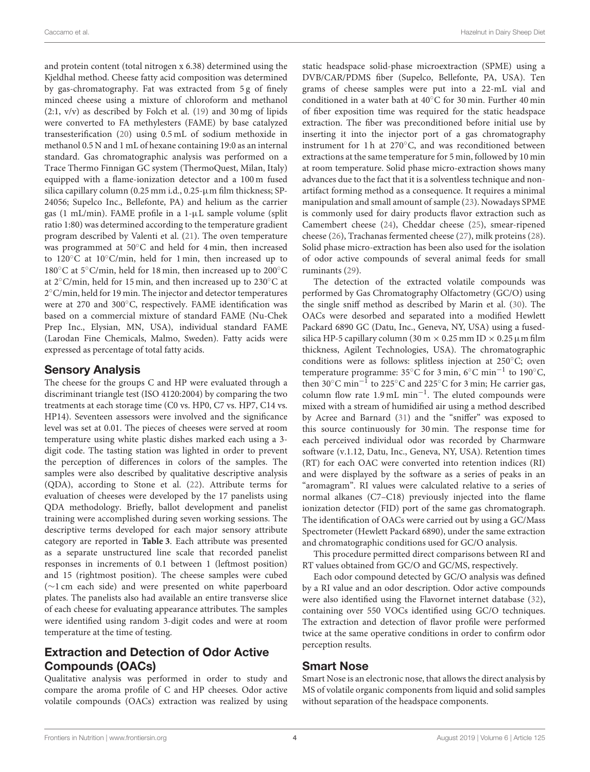and protein content (total nitrogen x 6.38) determined using the Kjeldhal method. Cheese fatty acid composition was determined by gas-chromatography. Fat was extracted from 5 g of finely minced cheese using a mixture of chloroform and methanol (2:1, v/v) as described by Folch et al. [\(19\)](#page-8-18) and 30 mg of lipids were converted to FA methylesters (FAME) by base catalyzed transesterification [\(20\)](#page-8-19) using 0.5 mL of sodium methoxide in methanol 0.5 N and 1 mL of hexane containing 19:0 as an internal standard. Gas chromatographic analysis was performed on a Trace Thermo Finnigan GC system (ThermoQuest, Milan, Italy) equipped with a flame-ionization detector and a 100 m fused silica capillary column (0.25 mm i.d., 0.25-µm film thickness; SP-24056; Supelco Inc., Bellefonte, PA) and helium as the carrier gas (1 mL/min). FAME profile in a 1-µL sample volume (split ratio 1:80) was determined according to the temperature gradient program described by Valenti et al. [\(21\)](#page-8-20). The oven temperature was programmed at 50◦C and held for 4 min, then increased to 120◦C at 10◦C/min, held for 1 min, then increased up to 180◦C at 5◦C/min, held for 18 min, then increased up to 200◦C at 2◦C/min, held for 15 min, and then increased up to 230◦C at 2 ◦C/min, held for 19 min. The injector and detector temperatures were at 270 and 300◦C, respectively. FAME identification was based on a commercial mixture of standard FAME (Nu-Chek Prep Inc., Elysian, MN, USA), individual standard FAME (Larodan Fine Chemicals, Malmo, Sweden). Fatty acids were expressed as percentage of total fatty acids.

#### Sensory Analysis

The cheese for the groups C and HP were evaluated through a discriminant triangle test (ISO 4120:2004) by comparing the two treatments at each storage time (C0 vs. HP0, C7 vs. HP7, C14 vs. HP14). Seventeen assessors were involved and the significance level was set at 0.01. The pieces of cheeses were served at room temperature using white plastic dishes marked each using a 3 digit code. The tasting station was lighted in order to prevent the perception of differences in colors of the samples. The samples were also described by qualitative descriptive analysis (QDA), according to Stone et al. [\(22\)](#page-8-21). Attribute terms for evaluation of cheeses were developed by the 17 panelists using QDA methodology. Briefly, ballot development and panelist training were accomplished during seven working sessions. The descriptive terms developed for each major sensory attribute category are reported in **[Table 3](#page-5-0)**. Each attribute was presented as a separate unstructured line scale that recorded panelist responses in increments of 0.1 between 1 (leftmost position) and 15 (rightmost position). The cheese samples were cubed (∼1 cm each side) and were presented on white paperboard plates. The panelists also had available an entire transverse slice of each cheese for evaluating appearance attributes. The samples were identified using random 3-digit codes and were at room temperature at the time of testing.

# Extraction and Detection of Odor Active Compounds (OACs)

Qualitative analysis was performed in order to study and compare the aroma profile of C and HP cheeses. Odor active volatile compounds (OACs) extraction was realized by using static headspace solid-phase microextraction (SPME) using a DVB/CAR/PDMS fiber (Supelco, Bellefonte, PA, USA). Ten grams of cheese samples were put into a 22-mL vial and conditioned in a water bath at 40◦C for 30 min. Further 40 min of fiber exposition time was required for the static headspace extraction. The fiber was preconditioned before initial use by inserting it into the injector port of a gas chromatography instrument for 1 h at 270◦C, and was reconditioned between extractions at the same temperature for 5 min, followed by 10 min at room temperature. Solid phase micro-extraction shows many advances due to the fact that it is a solventless technique and nonartifact forming method as a consequence. It requires a minimal manipulation and small amount of sample [\(23\)](#page-8-22). Nowadays SPME is commonly used for dairy products flavor extraction such as Camembert cheese [\(24\)](#page-8-23), Cheddar cheese [\(25\)](#page-8-24), smear-ripened cheese [\(26\)](#page-9-0), Trachanas fermented cheese [\(27\)](#page-9-1), milk proteins [\(28\)](#page-9-2). Solid phase micro-extraction has been also used for the isolation of odor active compounds of several animal feeds for small ruminants [\(29\)](#page-9-3).

The detection of the extracted volatile compounds was performed by Gas Chromatography Olfactometry (GC/O) using the single sniff method as described by Marin et al. [\(30\)](#page-9-4). The OACs were desorbed and separated into a modified Hewlett Packard 6890 GC (Datu, Inc., Geneva, NY, USA) using a fusedsilica HP-5 capillary column (30 m  $\times$  0.25 mm ID  $\times$  0.25  $\mu$ m film thickness, Agilent Technologies, USA). The chromatographic conditions were as follows: splitless injection at 250◦C; oven temperature programme: 35◦C for 3 min, 6◦C min−<sup>1</sup> to 190◦C, then 30◦C min−<sup>1</sup> to 225◦C and 225◦C for 3 min; He carrier gas, column flow rate 1.9 mL min−<sup>1</sup> . The eluted compounds were mixed with a stream of humidified air using a method described by Acree and Barnard [\(31\)](#page-9-5) and the "sniffer" was exposed to this source continuously for 30 min. The response time for each perceived individual odor was recorded by Charmware software (v.1.12, Datu, Inc., Geneva, NY, USA). Retention times (RT) for each OAC were converted into retention indices (RI) and were displayed by the software as a series of peaks in an "aromagram". RI values were calculated relative to a series of normal alkanes (C7–C18) previously injected into the flame ionization detector (FID) port of the same gas chromatograph. The identification of OACs were carried out by using a GC/Mass Spectrometer (Hewlett Packard 6890), under the same extraction and chromatographic conditions used for GC/O analysis.

This procedure permitted direct comparisons between RI and RT values obtained from GC/O and GC/MS, respectively.

Each odor compound detected by GC/O analysis was defined by a RI value and an odor description. Odor active compounds were also identified using the Flavornet internet database [\(32\)](#page-9-6), containing over 550 VOCs identified using GC/O techniques. The extraction and detection of flavor profile were performed twice at the same operative conditions in order to confirm odor perception results.

#### Smart Nose

Smart Nose is an electronic nose, that allows the direct analysis by MS of volatile organic components from liquid and solid samples without separation of the headspace components.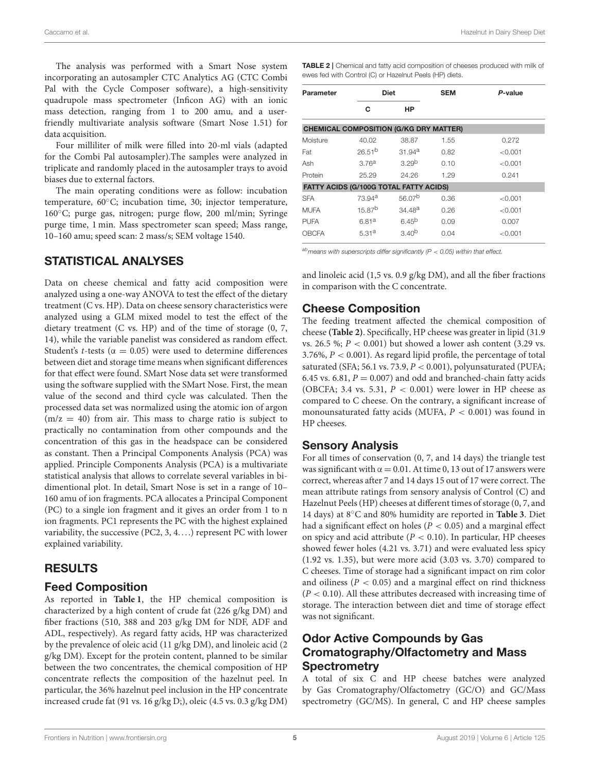Caccamo et al. Hazelnut in Dairy Sheep Diet

The analysis was performed with a Smart Nose system incorporating an autosampler CTC Analytics AG (CTC Combi Pal with the Cycle Composer software), a high-sensitivity quadrupole mass spectrometer (Inficon AG) with an ionic mass detection, ranging from 1 to 200 amu, and a userfriendly multivariate analysis software (Smart Nose 1.51) for data acquisition.

Four milliliter of milk were filled into 20-ml vials (adapted for the Combi Pal autosampler).The samples were analyzed in triplicate and randomly placed in the autosampler trays to avoid biases due to external factors.

The main operating conditions were as follow: incubation temperature, 60◦C; incubation time, 30; injector temperature, 160◦C; purge gas, nitrogen; purge flow, 200 ml/min; Syringe purge time, 1 min. Mass spectrometer scan speed; Mass range, 10–160 amu; speed scan: 2 mass/s; SEM voltage 1540.

#### STATISTICAL ANALYSES

Data on cheese chemical and fatty acid composition were analyzed using a one-way ANOVA to test the effect of the dietary treatment (C vs. HP). Data on cheese sensory characteristics were analyzed using a GLM mixed model to test the effect of the dietary treatment (C vs. HP) and of the time of storage (0, 7, 14), while the variable panelist was considered as random effect. Student's t-tests ( $\alpha = 0.05$ ) were used to determine differences between diet and storage time means when significant differences for that effect were found. SMart Nose data set were transformed using the software supplied with the SMart Nose. First, the mean value of the second and third cycle was calculated. Then the processed data set was normalized using the atomic ion of argon  $(m/z = 40)$  from air. This mass to charge ratio is subject to practically no contamination from other compounds and the concentration of this gas in the headspace can be considered as constant. Then a Principal Components Analysis (PCA) was applied. Principle Components Analysis (PCA) is a multivariate statistical analysis that allows to correlate several variables in bidimentional plot. In detail, Smart Nose is set in a range of 10– 160 amu of ion fragments. PCA allocates a Principal Component (PC) to a single ion fragment and it gives an order from 1 to n ion fragments. PC1 represents the PC with the highest explained variability, the successive (PC2, 3, 4. . . .) represent PC with lower explained variability.

## RESULTS

## Feed Composition

As reported in **[Table 1](#page-2-0)**, the HP chemical composition is characterized by a high content of crude fat (226 g/kg DM) and fiber fractions (510, 388 and 203 g/kg DM for NDF, ADF and ADL, respectively). As regard fatty acids, HP was characterized by the prevalence of oleic acid (11 g/kg DM), and linoleic acid (2 g/kg DM). Except for the protein content, planned to be similar between the two concentrates, the chemical composition of HP concentrate reflects the composition of the hazelnut peel. In particular, the 36% hazelnut peel inclusion in the HP concentrate increased crude fat (91 vs. 16 g/kg D;), oleic (4.5 vs. 0.3 g/kg DM) <span id="page-4-0"></span>TABLE 2 | Chemical and fatty acid composition of cheeses produced with milk of ewes fed with Control (C) or Hazelnut Peels (HP) diets.

| Parameter   |                                               | <b>Diet</b>        |      | P-value |  |
|-------------|-----------------------------------------------|--------------------|------|---------|--|
|             | C                                             | HP                 |      |         |  |
|             | <b>CHEMICAL COMPOSITION (G/KG DRY MATTER)</b> |                    |      |         |  |
| Moisture    | 40.02                                         | 38.87              | 1.55 | 0.272   |  |
| Fat         | 26.51 <sup>b</sup>                            | 31.94 <sup>a</sup> | 0.82 | < 0.001 |  |
| Ash         | 3.76 <sup>a</sup>                             | 3.29 <sup>b</sup>  | 0.10 | < 0.001 |  |
| Protein     | 25.29                                         | 24.26              | 1.29 | 0.241   |  |
|             | FATTY ACIDS (G/100G TOTAL FATTY ACIDS)        |                    |      |         |  |
| <b>SFA</b>  | 73.94 <sup>a</sup>                            | 56.07 <sup>b</sup> | 0.36 | < 0.001 |  |
| <b>MUFA</b> | $15.87^{b}$                                   | $34.48^{a}$        | 0.26 | < 0.001 |  |
| <b>PUFA</b> | 6.81 <sup>a</sup>                             | $6.45^{b}$         | 0.09 | 0.007   |  |
| OBCFA       | 5.31a                                         | 3.40 <sup>b</sup>  | 0.04 | < 0.001 |  |

*abmeans with superscripts differ significantly (P* < *0.05) within that effect.*

and linoleic acid (1,5 vs. 0.9 g/kg DM), and all the fiber fractions in comparison with the C concentrate.

# Cheese Composition

The feeding treatment affected the chemical composition of cheese **[\(Table 2\)](#page-4-0)**. Specifically, HP cheese was greater in lipid (31.9 vs. 26.5 %;  $P < 0.001$ ) but showed a lower ash content (3.29 vs. 3.76%,  $P < 0.001$ ). As regard lipid profile, the percentage of total saturated (SFA; 56.1 vs. 73.9,  $P < 0.001$ ), polyunsaturated (PUFA; 6.45 vs. 6.81,  $P = 0.007$ ) and odd and branched-chain fatty acids (OBCFA; 3.4 vs. 5.31,  $P < 0.001$ ) were lower in HP cheese as compared to C cheese. On the contrary, a significant increase of monounsaturated fatty acids (MUFA,  $P < 0.001$ ) was found in HP cheeses.

## Sensory Analysis

For all times of conservation (0, 7, and 14 days) the triangle test was significant with  $\alpha = 0.01$ . At time 0, 13 out of 17 answers were correct, whereas after 7 and 14 days 15 out of 17 were correct. The mean attribute ratings from sensory analysis of Control (C) and Hazelnut Peels (HP) cheeses at different times of storage (0, 7, and 14 days) at 8◦C and 80% humidity are reported in **[Table 3](#page-5-0)**. Diet had a significant effect on holes ( $P < 0.05$ ) and a marginal effect on spicy and acid attribute ( $P < 0.10$ ). In particular, HP cheeses showed fewer holes (4.21 vs. 3.71) and were evaluated less spicy (1.92 vs. 1.35), but were more acid (3.03 vs. 3.70) compared to C cheeses. Time of storage had a significant impact on rim color and oiliness ( $P < 0.05$ ) and a marginal effect on rind thickness  $(P < 0.10)$ . All these attributes decreased with increasing time of storage. The interaction between diet and time of storage effect was not significant.

# Odor Active Compounds by Gas Cromatography/Olfactometry and Mass **Spectrometry**

A total of six C and HP cheese batches were analyzed by Gas Cromatography/Olfactometry (GC/O) and GC/Mass spectrometry (GC/MS). In general, C and HP cheese samples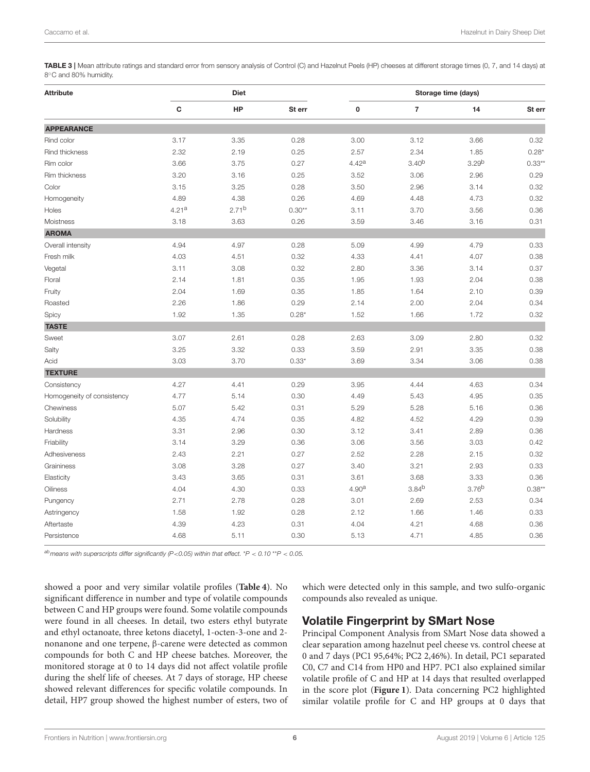<span id="page-5-0"></span>TABLE 3 | Mean attribute ratings and standard error from sensory analysis of Control (C) and Hazelnut Peels (HP) cheeses at different storage times (0, 7, and 14 days) at 8 ◦C and 80% humidity.

| <b>Attribute</b>           | <b>Diet</b>       |            |          | Storage time (days) |            |                   |          |  |
|----------------------------|-------------------|------------|----------|---------------------|------------|-------------------|----------|--|
|                            | C                 | HP         | St err   | $\pmb{0}$           | 7          | 14                | St err   |  |
| <b>APPEARANCE</b>          |                   |            |          |                     |            |                   |          |  |
| Rind color                 | 3.17              | 3.35       | 0.28     | 3.00                | 3.12       | 3.66              | 0.32     |  |
| Rind thickness             | 2.32              | 2.19       | 0.25     | 2.57                | 2.34       | 1.85              | $0.28*$  |  |
| Rim color                  | 3.66              | 3.75       | 0.27     | 4.42a               | $3.40^{b}$ | 3.29 <sup>b</sup> | $0.33**$ |  |
| Rim thickness              | 3.20              | 3.16       | 0.25     | 3.52                | 3.06       | 2.96              | 0.29     |  |
| Color                      | 3.15              | 3.25       | 0.28     | 3.50                | 2.96       | 3.14              | 0.32     |  |
| Homogeneity                | 4.89              | 4.38       | 0.26     | 4.69                | 4.48       | 4.73              | 0.32     |  |
| Holes                      | 4.21 <sup>a</sup> | $2.71^{b}$ | $0.30**$ | 3.11                | 3.70       | 3.56              | 0.36     |  |
| Moistness                  | 3.18              | 3.63       | 0.26     | 3.59                | 3.46       | 3.16              | 0.31     |  |
| <b>AROMA</b>               |                   |            |          |                     |            |                   |          |  |
| Overall intensity          | 4.94              | 4.97       | 0.28     | 5.09                | 4.99       | 4.79              | 0.33     |  |
| Fresh milk                 | 4.03              | 4.51       | 0.32     | 4.33                | 4.41       | 4.07              | 0.38     |  |
| Vegetal                    | 3.11              | 3.08       | 0.32     | 2.80                | 3.36       | 3.14              | 0.37     |  |
| Floral                     | 2.14              | 1.81       | 0.35     | 1.95                | 1.93       | 2.04              | 0.38     |  |
| Fruity                     | 2.04              | 1.69       | 0.35     | 1.85                | 1.64       | 2.10              | 0.39     |  |
| Roasted                    | 2.26              | 1.86       | 0.29     | 2.14                | 2.00       | 2.04              | 0.34     |  |
| Spicy                      | 1.92              | 1.35       | $0.28*$  | 1.52                | 1.66       | 1.72              | 0.32     |  |
| <b>TASTE</b>               |                   |            |          |                     |            |                   |          |  |
| Sweet                      | 3.07              | 2.61       | 0.28     | 2.63                | 3.09       | 2.80              | 0.32     |  |
| Salty                      | 3.25              | 3.32       | 0.33     | 3.59                | 2.91       | 3.35              | 0.38     |  |
| Acid                       | 3.03              | 3.70       | $0.33*$  | 3.69                | 3.34       | 3.06              | 0.38     |  |
| <b>TEXTURE</b>             |                   |            |          |                     |            |                   |          |  |
| Consistency                | 4.27              | 4.41       | 0.29     | 3.95                | 4.44       | 4.63              | 0.34     |  |
| Homogeneity of consistency | 4.77              | 5.14       | 0.30     | 4.49                | 5.43       | 4.95              | 0.35     |  |
| Chewiness                  | 5.07              | 5.42       | 0.31     | 5.29                | 5.28       | 5.16              | 0.36     |  |
| Solubility                 | 4.35              | 4.74       | 0.35     | 4.82                | 4.52       | 4.29              | 0.39     |  |
| Hardness                   | 3.31              | 2.96       | 0.30     | 3.12                | 3.41       | 2.89              | 0.36     |  |
| Friability                 | 3.14              | 3.29       | 0.36     | 3.06                | 3.56       | 3.03              | 0.42     |  |
| Adhesiveness               | 2.43              | 2.21       | 0.27     | 2.52                | 2.28       | 2.15              | 0.32     |  |
| Graininess                 | 3.08              | 3.28       | 0.27     | 3.40                | 3.21       | 2.93              | 0.33     |  |
| Elasticity                 | 3.43              | 3.65       | 0.31     | 3.61                | 3.68       | 3.33              | 0.36     |  |
| Oiliness                   | 4.04              | 4.30       | 0.33     | 4.90 <sup>a</sup>   | $3.84^{b}$ | 3.76 <sup>b</sup> | $0.38**$ |  |
| Pungency                   | 2.71              | 2.78       | 0.28     | 3.01                | 2.69       | 2.53              | 0.34     |  |
| Astringency                | 1.58              | 1.92       | 0.28     | 2.12                | 1.66       | 1.46              | 0.33     |  |
| Aftertaste                 | 4.39              | 4.23       | 0.31     | 4.04                | 4.21       | 4.68              | 0.36     |  |
| Persistence                | 4.68              | 5.11       | 0.30     | 5.13                | 4.71       | 4.85              | 0.36     |  |
|                            |                   |            |          |                     |            |                   |          |  |

*abmeans with superscripts differ significantly (P*<*0.05) within that effect.* \**P* < *0.10* \*\**P* < *0.05.*

showed a poor and very similar volatile profiles (**[Table 4](#page-6-0)**). No significant difference in number and type of volatile compounds between C and HP groups were found. Some volatile compounds were found in all cheeses. In detail, two esters ethyl butyrate and ethyl octanoate, three ketons diacetyl, 1-octen-3-one and 2 nonanone and one terpene, β-carene were detected as common compounds for both C and HP cheese batches. Moreover, the monitored storage at 0 to 14 days did not affect volatile profile during the shelf life of cheeses. At 7 days of storage, HP cheese showed relevant differences for specific volatile compounds. In detail, HP7 group showed the highest number of esters, two of which were detected only in this sample, and two sulfo-organic compounds also revealed as unique.

## Volatile Fingerprint by SMart Nose

Principal Component Analysis from SMart Nose data showed a clear separation among hazelnut peel cheese vs. control cheese at 0 and 7 days (PC1 95,64%; PC2 2,46%). In detail, PC1 separated C0, C7 and C14 from HP0 and HP7. PC1 also explained similar volatile profile of C and HP at 14 days that resulted overlapped in the score plot (**[Figure 1](#page-7-0)**). Data concerning PC2 highlighted similar volatile profile for C and HP groups at 0 days that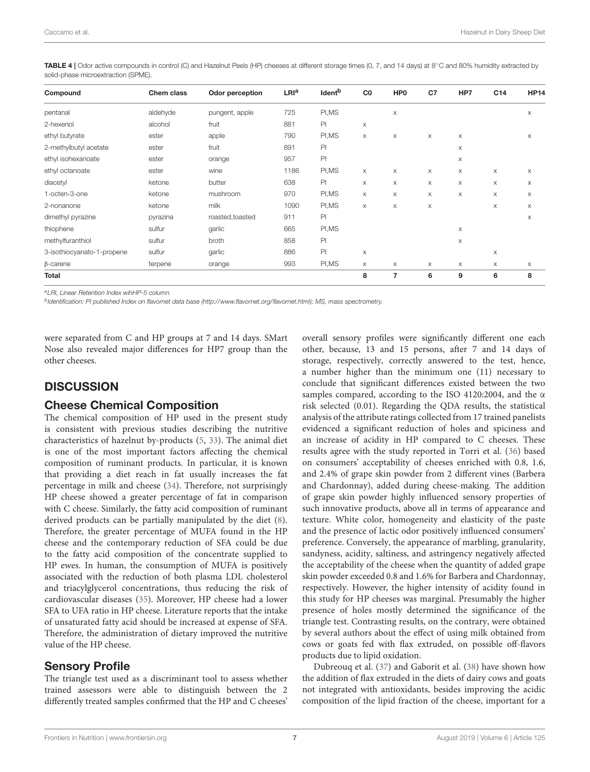<span id="page-6-0"></span>TABLE 4 | Odor active compounds in control (C) and Hazelnut Peels (HP) cheeses at different storage times (0, 7, and 14 days) at 8℃ and 80% humidity extracted by solid-phase microextraction (SPME).

| Compound                   | Chem class | <b>Odor perception</b> | LRI <sup>a</sup> | Ident <sup>b</sup> | C <sub>0</sub> | HP <sub>0</sub> | C <sub>7</sub> | HP7      | C <sub>14</sub> | <b>HP14</b> |
|----------------------------|------------|------------------------|------------------|--------------------|----------------|-----------------|----------------|----------|-----------------|-------------|
| pentanal                   | aldehyde   | pungent, apple         | 725              | PI, MS             |                | X               |                |          |                 | X           |
| 2-hexenol                  | alcohol    | fruit                  | 881              | PI                 | X              |                 |                |          |                 |             |
| ethyl butyrate             | ester      | apple                  | 790              | PI, MS             | X              | X               | X              | X        |                 | X           |
| 2-methylbutyl acetate      | ester      | fruit                  | 891              | PI                 |                |                 |                | X        |                 |             |
| ethyl isohexanoate         | ester      | orange                 | 957              | PI                 |                |                 |                | X        |                 |             |
| ethyl octanoate            | ester      | wine                   | 1186             | PI, MS             | X              | X               | X              | X        | X               | X           |
| diacetyl                   | ketone     | butter                 | 638              | P                  | X              | X               | X              | X        | X               | X           |
| 1-octen-3-one              | ketone     | mushroom               | 970              | PI, MS             | X              | X               | X              | X        | X               | X           |
| 2-nonanone                 | ketone     | milk                   | 1090             | PI, MS             | X              | X               | X              |          | X               | X           |
| dimethyl pyrazine          | pyrazina   | roasted, toasted       | 911              | PI                 |                |                 |                |          |                 | $\times$    |
| thiophene                  | sulfur     | garlic                 | 665              | PI, MS             |                |                 |                | X        |                 |             |
| methylfuranthiol           | sulfur     | broth                  | 858              | PI                 |                |                 |                | X        |                 |             |
| 3-isothiocyanato-1-propene | sulfur     | garlic                 | 886              | P                  | X              |                 |                |          | X               |             |
| $\beta$ -carene            | terpene    | orange                 | 993              | PI, MS             | X              | X               | X              | $\times$ | X               | X           |
| <b>Total</b>               |            |                        |                  |                    | 8              | 7               | 6              | 9        | 6               | 8           |

*<sup>a</sup>LRI, Linear Retention Index wihHP-5 column.*

*b Identification: PI published Index on flavornet data base [\(http://www.flavornet.org/flavornet.html\)](http://www.flavornet.org/flavornet.html); MS, mass spectrometry.*

were separated from C and HP groups at 7 and 14 days. SMart Nose also revealed major differences for HP7 group than the other cheeses.

#### **DISCUSSION**

#### Cheese Chemical Composition

The chemical composition of HP used in the present study is consistent with previous studies describing the nutritive characteristics of hazelnut by-products [\(5,](#page-8-4) [33\)](#page-9-7). The animal diet is one of the most important factors affecting the chemical composition of ruminant products. In particular, it is known that providing a diet reach in fat usually increases the fat percentage in milk and cheese [\(34\)](#page-9-8). Therefore, not surprisingly HP cheese showed a greater percentage of fat in comparison with C cheese. Similarly, the fatty acid composition of ruminant derived products can be partially manipulated by the diet [\(8\)](#page-8-7). Therefore, the greater percentage of MUFA found in the HP cheese and the contemporary reduction of SFA could be due to the fatty acid composition of the concentrate supplied to HP ewes. In human, the consumption of MUFA is positively associated with the reduction of both plasma LDL cholesterol and triacylglycerol concentrations, thus reducing the risk of cardiovascular diseases [\(35\)](#page-9-9). Moreover, HP cheese had a lower SFA to UFA ratio in HP cheese. Literature reports that the intake of unsaturated fatty acid should be increased at expense of SFA. Therefore, the administration of dietary improved the nutritive value of the HP cheese.

#### Sensory Profile

The triangle test used as a discriminant tool to assess whether trained assessors were able to distinguish between the 2 differently treated samples confirmed that the HP and C cheeses'

overall sensory profiles were significantly different one each other, because, 13 and 15 persons, after 7 and 14 days of storage, respectively, correctly answered to the test, hence, a number higher than the minimum one (11) necessary to conclude that significant differences existed between the two samples compared, according to the ISO 4120:2004, and the α risk selected (0.01). Regarding the QDA results, the statistical analysis of the attribute ratings collected from 17 trained panelists evidenced a significant reduction of holes and spiciness and an increase of acidity in HP compared to C cheeses. These results agree with the study reported in Torri et al. [\(36\)](#page-9-10) based on consumers' acceptability of cheeses enriched with 0.8, 1.6, and 2.4% of grape skin powder from 2 different vines (Barbera and Chardonnay), added during cheese-making. The addition of grape skin powder highly influenced sensory properties of such innovative products, above all in terms of appearance and texture. White color, homogeneity and elasticity of the paste and the presence of lactic odor positively influenced consumers' preference. Conversely, the appearance of marbling, granularity, sandyness, acidity, saltiness, and astringency negatively affected the acceptability of the cheese when the quantity of added grape skin powder exceeded 0.8 and 1.6% for Barbera and Chardonnay, respectively. However, the higher intensity of acidity found in this study for HP cheeses was marginal. Presumably the higher presence of holes mostly determined the significance of the triangle test. Contrasting results, on the contrary, were obtained by several authors about the effect of using milk obtained from cows or goats fed with flax extruded, on possible off-flavors products due to lipid oxidation.

Dubreouq et al. [\(37\)](#page-9-11) and Gaborit et al. [\(38\)](#page-9-12) have shown how the addition of flax extruded in the diets of dairy cows and goats not integrated with antioxidants, besides improving the acidic composition of the lipid fraction of the cheese, important for a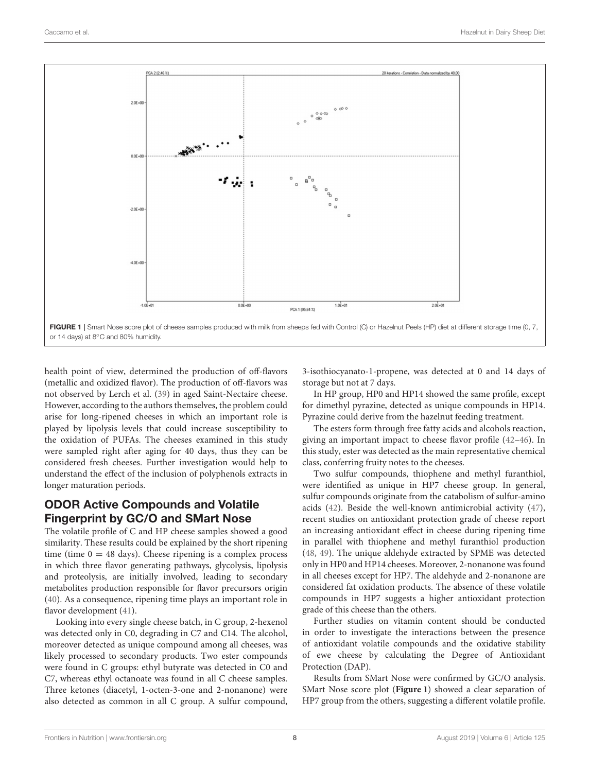

<span id="page-7-0"></span>health point of view, determined the production of off-flavors (metallic and oxidized flavor). The production of off-flavors was not observed by Lerch et al. [\(39\)](#page-9-13) in aged Saint-Nectaire cheese. However, according to the authors themselves, the problem could arise for long-ripened cheeses in which an important role is played by lipolysis levels that could increase susceptibility to the oxidation of PUFAs. The cheeses examined in this study were sampled right after aging for 40 days, thus they can be considered fresh cheeses. Further investigation would help to understand the effect of the inclusion of polyphenols extracts in longer maturation periods.

# ODOR Active Compounds and Volatile Fingerprint by GC/O and SMart Nose

The volatile profile of C and HP cheese samples showed a good similarity. These results could be explained by the short ripening time (time  $0 = 48$  days). Cheese ripening is a complex process in which three flavor generating pathways, glycolysis, lipolysis and proteolysis, are initially involved, leading to secondary metabolites production responsible for flavor precursors origin [\(40\)](#page-9-14). As a consequence, ripening time plays an important role in flavor development [\(41\)](#page-9-15).

Looking into every single cheese batch, in C group, 2-hexenol was detected only in C0, degrading in C7 and C14. The alcohol, moreover detected as unique compound among all cheeses, was likely processed to secondary products. Two ester compounds were found in C groups: ethyl butyrate was detected in C0 and C7, whereas ethyl octanoate was found in all C cheese samples. Three ketones (diacetyl, 1-octen-3-one and 2-nonanone) were also detected as common in all C group. A sulfur compound, 3-isothiocyanato-1-propene, was detected at 0 and 14 days of storage but not at 7 days.

In HP group, HP0 and HP14 showed the same profile, except for dimethyl pyrazine, detected as unique compounds in HP14. Pyrazine could derive from the hazelnut feeding treatment.

The esters form through free fatty acids and alcohols reaction, giving an important impact to cheese flavor profile [\(42](#page-9-16)[–46\)](#page-9-17). In this study, ester was detected as the main representative chemical class, conferring fruity notes to the cheeses.

Two sulfur compounds, thiophene and methyl furanthiol, were identified as unique in HP7 cheese group. In general, sulfur compounds originate from the catabolism of sulfur-amino acids [\(42\)](#page-9-16). Beside the well-known antimicrobial activity [\(47\)](#page-9-18), recent studies on antioxidant protection grade of cheese report an increasing antioxidant effect in cheese during ripening time in parallel with thiophene and methyl furanthiol production [\(48,](#page-9-19) [49\)](#page-9-20). The unique aldehyde extracted by SPME was detected only in HP0 and HP14 cheeses. Moreover, 2-nonanone was found in all cheeses except for HP7. The aldehyde and 2-nonanone are considered fat oxidation products. The absence of these volatile compounds in HP7 suggests a higher antioxidant protection grade of this cheese than the others.

Further studies on vitamin content should be conducted in order to investigate the interactions between the presence of antioxidant volatile compounds and the oxidative stability of ewe cheese by calculating the Degree of Antioxidant Protection (DAP).

Results from SMart Nose were confirmed by GC/O analysis. SMart Nose score plot (**[Figure 1](#page-7-0)**) showed a clear separation of HP7 group from the others, suggesting a different volatile profile.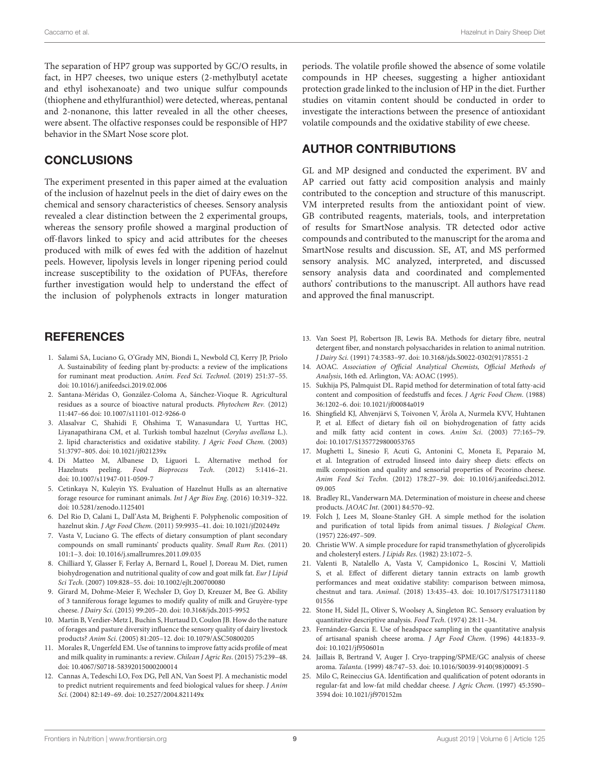The separation of HP7 group was supported by GC/O results, in fact, in HP7 cheeses, two unique esters (2-methylbutyl acetate and ethyl isohexanoate) and two unique sulfur compounds (thiophene and ethylfuranthiol) were detected, whereas, pentanal and 2-nonanone, this latter revealed in all the other cheeses, were absent. The olfactive responses could be responsible of HP7 behavior in the SMart Nose score plot.

#### **CONCLUSIONS**

The experiment presented in this paper aimed at the evaluation of the inclusion of hazelnut peels in the diet of dairy ewes on the chemical and sensory characteristics of cheeses. Sensory analysis revealed a clear distinction between the 2 experimental groups, whereas the sensory profile showed a marginal production of off-flavors linked to spicy and acid attributes for the cheeses produced with milk of ewes fed with the addition of hazelnut peels. However, lipolysis levels in longer ripening period could increase susceptibility to the oxidation of PUFAs, therefore further investigation would help to understand the effect of the inclusion of polyphenols extracts in longer maturation

#### **REFERENCES**

- <span id="page-8-0"></span>1. Salami SA, Luciano G, O'Grady MN, Biondi L, Newbold CJ, Kerry JP, Priolo A. Sustainability of feeding plant by-products: a review of the implications for ruminant meat production. Anim. Feed Sci. Technol. (2019) 251:37–55. doi: [10.1016/j.anifeedsci.2019.02.006](https://doi.org/10.1016/j.anifeedsci.2019.02.006)
- <span id="page-8-1"></span>2. Santana-Méridas O, González-Coloma A, Sánchez-Vioque R. Agricultural residues as a source of bioactive natural products. Phytochem Rev. (2012) 11:447–66 doi: [10.1007/s11101-012-9266-0](https://doi.org/10.1007/s11101-012-9266-0)
- <span id="page-8-2"></span>3. Alasalvar C, Shahidi F, Ohshima T, Wanasundara U, Yurttas HC, Liyanapathirana CM, et al. Turkish tombul hazelnut (Corylus avellana L.). 2. lipid characteristics and oxidative stability. J Agric Food Chem. (2003) 51:3797–805. doi: [10.1021/jf021239x](https://doi.org/10.1021/jf021239x)
- <span id="page-8-3"></span>4. Di Matteo M, Albanese D, Liguori L. Alternative method for Hazelnuts peeling. Food Bioprocess Tech. (2012) 5:1416–21. doi: [10.1007/s11947-011-0509-7](https://doi.org/10.1007/s11947-011-0509-7)
- <span id="page-8-4"></span>5. Cetinkaya N, Kuleyin YS. Evaluation of Hazelnut Hulls as an alternative forage resource for ruminant animals. Int J Agr Bios Eng. (2016) 10:319–322. doi: [10.5281/zenodo.1125401](https://doi.org/10.5281/zenodo.1125401)
- <span id="page-8-5"></span>6. Del Rio D, Calani L, Dall'Asta M, Brighenti F. Polyphenolic composition of hazelnut skin. J Agr Food Chem. (2011) 59:9935–41. doi: [10.1021/jf202449z](https://doi.org/10.1021/jf202449z)
- <span id="page-8-6"></span>7. Vasta V, Luciano G. The effects of dietary consumption of plant secondary compounds on small ruminants' products quality. Small Rum Res. (2011) 101:1–3. doi: [10.1016/j.smallrumres.2011.09.035](https://doi.org/10.1016/j.smallrumres.2011.09.035)
- <span id="page-8-7"></span>8. Chilliard Y, Glasser F, Ferlay A, Bernard L, Rouel J, Doreau M. Diet, rumen biohydrogenation and nutritional quality of cow and goat milk fat. Eur J Lipid Sci Tech. (2007) 109:828–55. doi: [10.1002/ejlt.200700080](https://doi.org/10.1002/ejlt.200700080)
- <span id="page-8-8"></span>9. Girard M, Dohme-Meier F, Wechsler D, Goy D, Kreuzer M, Bee G. Ability of 3 tanniferous forage legumes to modify quality of milk and Gruyère-type cheese. J Dairy Sci. (2015) 99:205–20. doi: [10.3168/jds.2015-9952](https://doi.org/10.3168/jds.2015-9952)
- <span id="page-8-9"></span>10. Martin B, Verdier-Metz I, Buchin S, Hurtaud D, Coulon JB. How do the nature of forages and pasture diversity influence the sensory quality of dairy livestock products? Anim Sci. (2005) 81:205–12. doi: [10.1079/ASC50800205](https://doi.org/10.1079/ASC50800205)
- <span id="page-8-10"></span>11. Morales R, Ungerfeld EM. Use of tannins to improve fatty acids profile of meat and milk quality in ruminants: a review. Chilean J Agric Res. (2015) 75:239–48. doi: [10.4067/S0718-58392015000200014](https://doi.org/10.4067/S0718-58392015000200014)
- <span id="page-8-11"></span>12. Cannas A, Tedeschi LO, Fox DG, Pell AN, Van Soest PJ. A mechanistic model to predict nutrient requirements and feed biological values for sheep. J Anim Sci. (2004) 82:149–69. doi: [10.2527/2004.821149x](https://doi.org/10.2527/2004.821149x)

periods. The volatile profile showed the absence of some volatile compounds in HP cheeses, suggesting a higher antioxidant protection grade linked to the inclusion of HP in the diet. Further studies on vitamin content should be conducted in order to investigate the interactions between the presence of antioxidant volatile compounds and the oxidative stability of ewe cheese.

#### AUTHOR CONTRIBUTIONS

GL and MP designed and conducted the experiment. BV and AP carried out fatty acid composition analysis and mainly contributed to the conception and structure of this manuscript. VM interpreted results from the antioxidant point of view. GB contributed reagents, materials, tools, and interpretation of results for SmartNose analysis. TR detected odor active compounds and contributed to the manuscript for the aroma and SmartNose results and discussion. SE, AT, and MS performed sensory analysis. MC analyzed, interpreted, and discussed sensory analysis data and coordinated and complemented authors' contributions to the manuscript. All authors have read and approved the final manuscript.

- <span id="page-8-12"></span>13. Van Soest PJ, Robertson JB, Lewis BA. Methods for dietary fibre, neutral detergent fiber, and nonstarch polysaccharides in relation to animal nutrition. J Dairy Sci. (1991) 74:3583–97. doi: [10.3168/jds.S0022-0302\(91\)78551-2](https://doi.org/10.3168/jds.S0022-0302(91)78551-2)
- <span id="page-8-13"></span>14. AOAC. Association of Official Analytical Chemists, Official Methods of Analysis, 16th ed. Arlington, VA: AOAC (1995).
- <span id="page-8-14"></span>15. Sukhija PS, Palmquist DL. Rapid method for determination of total fatty-acid content and composition of feedstuffs and feces. J Agric Food Chem. (1988) 36:1202–6. doi: [10.1021/jf00084a019](https://doi.org/10.1021/jf00084a019)
- <span id="page-8-15"></span>16. Shingfield KJ, Ahvenjärvi S, Toivonen V, Äröla A, Nurmela KVV, Huhtanen P, et al. Effect of dietary fish oil on biohydrogenation of fatty acids and milk fatty acid content in cows. Anim Sci. (2003) 77:165–79. doi: [10.1017/S1357729800053765](https://doi.org/10.1017/S1357729800053765)
- <span id="page-8-16"></span>17. Mughetti L, Sinesio F, Acuti G, Antonini C, Moneta E, Peparaio M, et al. Integration of extruded linseed into dairy sheep diets: effects on milk composition and quality and sensorial properties of Pecorino cheese. Anim Feed Sci Techn[. \(2012\) 178:27–39. doi: 10.1016/j.anifeedsci.2012.](https://doi.org/10.1016/j.anifeedsci.2012.09.005) 09.005
- <span id="page-8-17"></span>18. Bradley RL, Vanderwarn MA. Determination of moisture in cheese and cheese products. JAOAC Int. (2001) 84:570–92.
- <span id="page-8-18"></span>19. Folch J, Lees M, Sloane-Stanley GH. A simple method for the isolation and purification of total lipids from animal tissues. J Biological Chem. (1957) 226:497–509.
- <span id="page-8-19"></span>20. Christie WW. A simple procedure for rapid transmethylation of glycerolipids and cholesteryl esters. J Lipids Res. (1982) 23:1072–5.
- <span id="page-8-20"></span>21. Valenti B, Natalello A, Vasta V, Campidonico L, Roscini V, Mattioli S, et al. Effect of different dietary tannin extracts on lamb growth performances and meat oxidative stability: comparison between mimosa, chestnut and tara. Animal[. \(2018\) 13:435–43. doi: 10.1017/S17517311180](https://doi.org/10.1017/S1751731118001556) 01556
- <span id="page-8-21"></span>22. Stone H, Sidel JL, Oliver S, Woolsey A, Singleton RC. Sensory evaluation by quantitative descriptive analysis. Food Tech. (1974) 28:11–34.
- <span id="page-8-22"></span>23. Fernández-Garcia E. Use of headspace sampling in the quantitative analysis of artisanal spanish cheese aroma. J Agr Food Chem. (1996) 44:1833–9. doi: [10.1021/jf950601n](https://doi.org/10.1021/jf950601n)
- <span id="page-8-23"></span>24. Jaillais B, Bertrand V, Auger J. Cryo-trapping/SPME/GC analysis of cheese aroma. Talanta. (1999) 48:747–53. doi: [10.1016/S0039-9140\(98\)00091-5](https://doi.org/10.1016/S0039-9140(98)00091-5)
- <span id="page-8-24"></span>25. Milo C, Reineccius GA. Identification and qualification of potent odorants in regular-fat and low-fat mild cheddar cheese. J Agric Chem. (1997) 45:3590– 3594 doi: [10.1021/jf970152m](https://doi.org/10.1021/jf970152m)